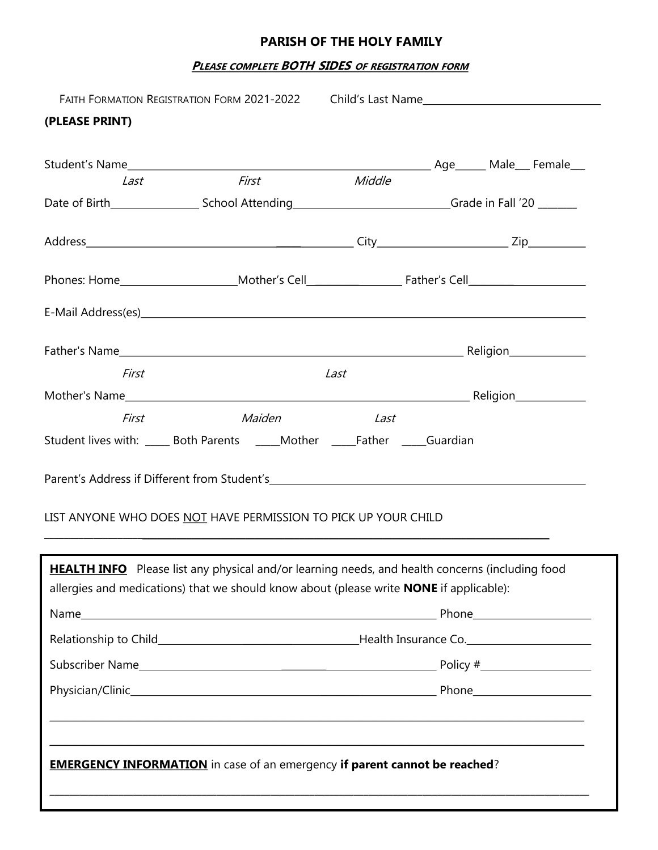# **PARISH OF THE HOLY FAMILY**

### **PLEASE COMPLETE BOTH SIDES OF REGISTRATION FORM**

|                | FAITH FORMATION REGISTRATION FORM 2021-2022 Child's Last Name                                                                                                                                                                  |        |  |  |  |  |
|----------------|--------------------------------------------------------------------------------------------------------------------------------------------------------------------------------------------------------------------------------|--------|--|--|--|--|
| (PLEASE PRINT) |                                                                                                                                                                                                                                |        |  |  |  |  |
|                |                                                                                                                                                                                                                                |        |  |  |  |  |
| Last           | <b>First</b>                                                                                                                                                                                                                   | Middle |  |  |  |  |
|                |                                                                                                                                                                                                                                |        |  |  |  |  |
|                |                                                                                                                                                                                                                                |        |  |  |  |  |
|                |                                                                                                                                                                                                                                |        |  |  |  |  |
|                | E-Mail Address(es) example and the state of the state of the state of the state of the state of the state of the state of the state of the state of the state of the state of the state of the state of the state of the state |        |  |  |  |  |
|                |                                                                                                                                                                                                                                |        |  |  |  |  |
| First          |                                                                                                                                                                                                                                | Last   |  |  |  |  |
|                |                                                                                                                                                                                                                                |        |  |  |  |  |
| First          | Maiden                                                                                                                                                                                                                         | Last   |  |  |  |  |
|                | Student lives with: ______ Both Parents ______Mother ______Father ______Guardian                                                                                                                                               |        |  |  |  |  |
|                | LIST ANYONE WHO DOES NOT HAVE PERMISSION TO PICK UP YOUR CHILD                                                                                                                                                                 |        |  |  |  |  |
|                |                                                                                                                                                                                                                                |        |  |  |  |  |
|                | HEALTH INFO Please list any physical and/or learning needs, and health concerns (including food<br>allergies and medications) that we should know about (please write <b>NONE</b> if applicable):                              |        |  |  |  |  |
|                |                                                                                                                                                                                                                                |        |  |  |  |  |
|                |                                                                                                                                                                                                                                |        |  |  |  |  |
|                |                                                                                                                                                                                                                                |        |  |  |  |  |
|                |                                                                                                                                                                                                                                |        |  |  |  |  |
|                |                                                                                                                                                                                                                                |        |  |  |  |  |
|                | <b>EMERGENCY INFORMATION</b> in case of an emergency if parent cannot be reached?                                                                                                                                              |        |  |  |  |  |
|                |                                                                                                                                                                                                                                |        |  |  |  |  |
|                |                                                                                                                                                                                                                                |        |  |  |  |  |